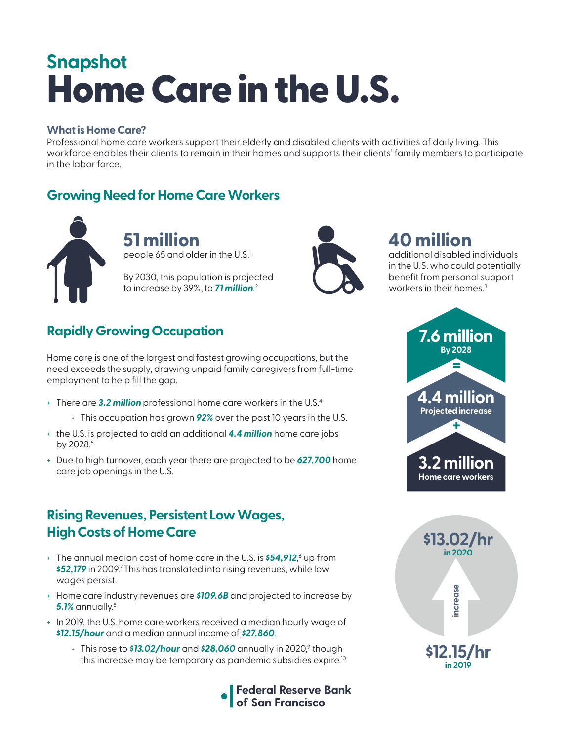# Home Care in the U.S. **Snapshot**

#### **What is Home Care?**

Professional home care workers support their elderly and disabled clients with activities of daily living. This workforce enables their clients to remain in their homes and supports their clients' family members to participate in the labor force.

### **Growing Need for Home Care Workers**



**51 million**  people 65 and older in the U.S. $^1$ 

By 2030, this population is projected to increase by 39%, to *71 million*. 2



# **40 million**

additional disabled individuals in the U.S. who could potentially benefit from personal support workers in their homes.<sup>3</sup>

# **Rapidly Growing Occupation**

Home care is one of the largest and fastest growing occupations, but the need exceeds the supply, drawing unpaid family caregivers from full-time employment to help fill the gap.

- + There are *3.2 million* professional home care workers in the U.S.4
	- + This occupation has grown *92%* over the past 10 years in the U.S.
- + the U.S. is projected to add an additional *4.4 million* home care jobs by 2028.<sup>5</sup>
- + Due to high turnover, each year there are projected to be *627,700* home care job openings in the U.S.

#### **Rising Revenues, Persistent Low Wages, High Costs of Home Care**

- + The annual median cost of home care in the U.S. is *\$54,912*, 6 up from **\$52,179** in 2009.<sup>7</sup> This has translated into rising revenues, while low wages persist.
- + Home care industry revenues are *\$109.6B* and projected to increase by *5.1%* annually.8
- + In 2019, the U.S. home care workers received a median hourly wage of *\$12.15/hour* and a median annual income of *\$27,860*.
	- + This rose to **\$13.02/hour** and **\$28,060** annually in 2020,<sup>9</sup> though this increase may be temporary as pandemic subsidies expire.<sup>10</sup>





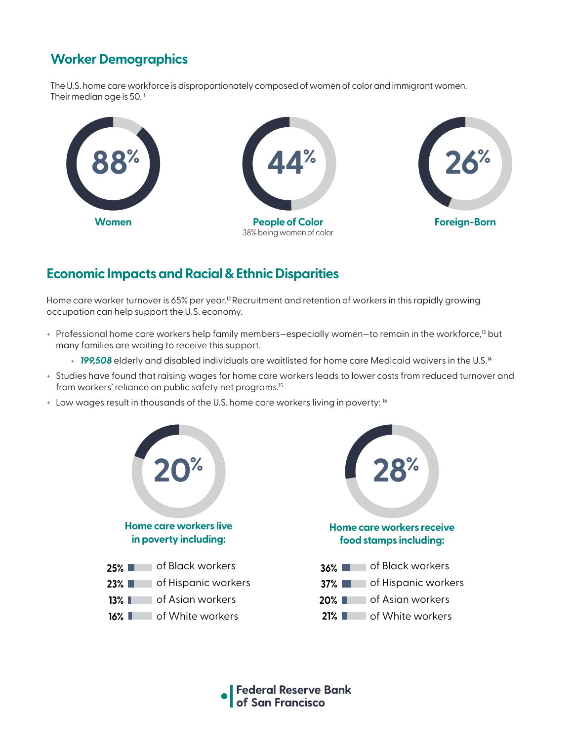## **Worker Demographics**

The U.S. home care workforce is disproportionately composed of women of color and immigrant women. Their median age is 50. $<sup>11</sup>$ </sup>



#### **Economic Impacts and Racial & Ethnic Disparities**

Home care worker turnover is 65% per year.<sup>12</sup> Recruitment and retention of workers in this rapidly growing occupation can help support the U.S. economy.

- + Professional home care workers help family members-especially women-to remain in the workforce,<sup>13</sup> but many families are waiting to receive this support.
	- + *199,508* elderly and disabled individuals are waitlisted for home care Medicaid waivers in the U.S.14
- + Studies have found that raising wages for home care workers leads to lower costs from reduced turnover and from workers' reliance on public safety net programs.<sup>15</sup>
- + Low wages result in thousands of the U.S. home care workers living in poverty: 16